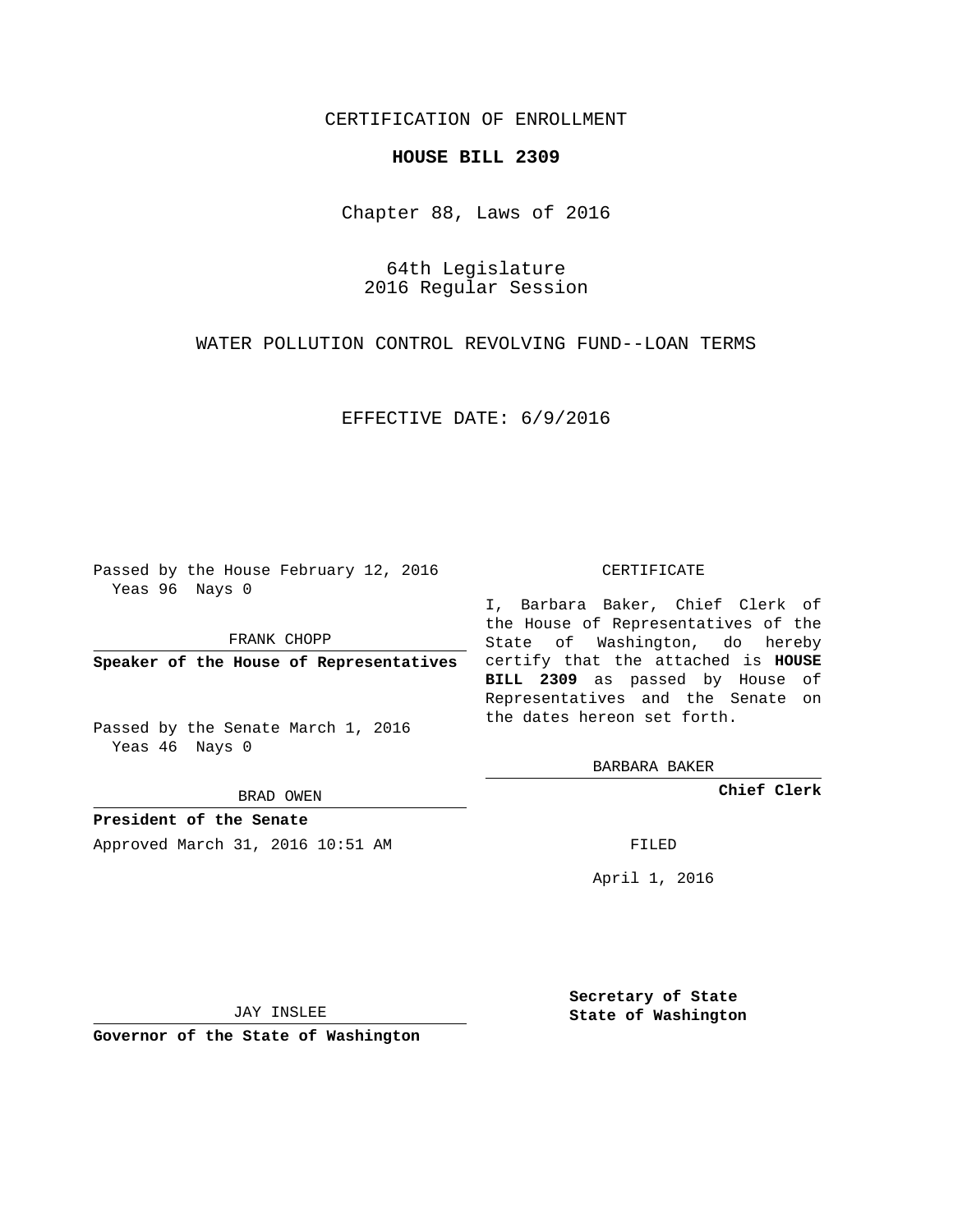## CERTIFICATION OF ENROLLMENT

### **HOUSE BILL 2309**

Chapter 88, Laws of 2016

64th Legislature 2016 Regular Session

WATER POLLUTION CONTROL REVOLVING FUND--LOAN TERMS

EFFECTIVE DATE: 6/9/2016

Passed by the House February 12, 2016 Yeas 96 Nays 0

FRANK CHOPP

Passed by the Senate March 1, 2016 Yeas 46 Nays 0

BRAD OWEN

**President of the Senate**

Approved March 31, 2016 10:51 AM FILED

#### CERTIFICATE

**Speaker of the House of Representatives** certify that the attached is **HOUSE** I, Barbara Baker, Chief Clerk of the House of Representatives of the State of Washington, do hereby **BILL 2309** as passed by House of Representatives and the Senate on the dates hereon set forth.

BARBARA BAKER

**Chief Clerk**

April 1, 2016

JAY INSLEE

**Governor of the State of Washington**

**Secretary of State State of Washington**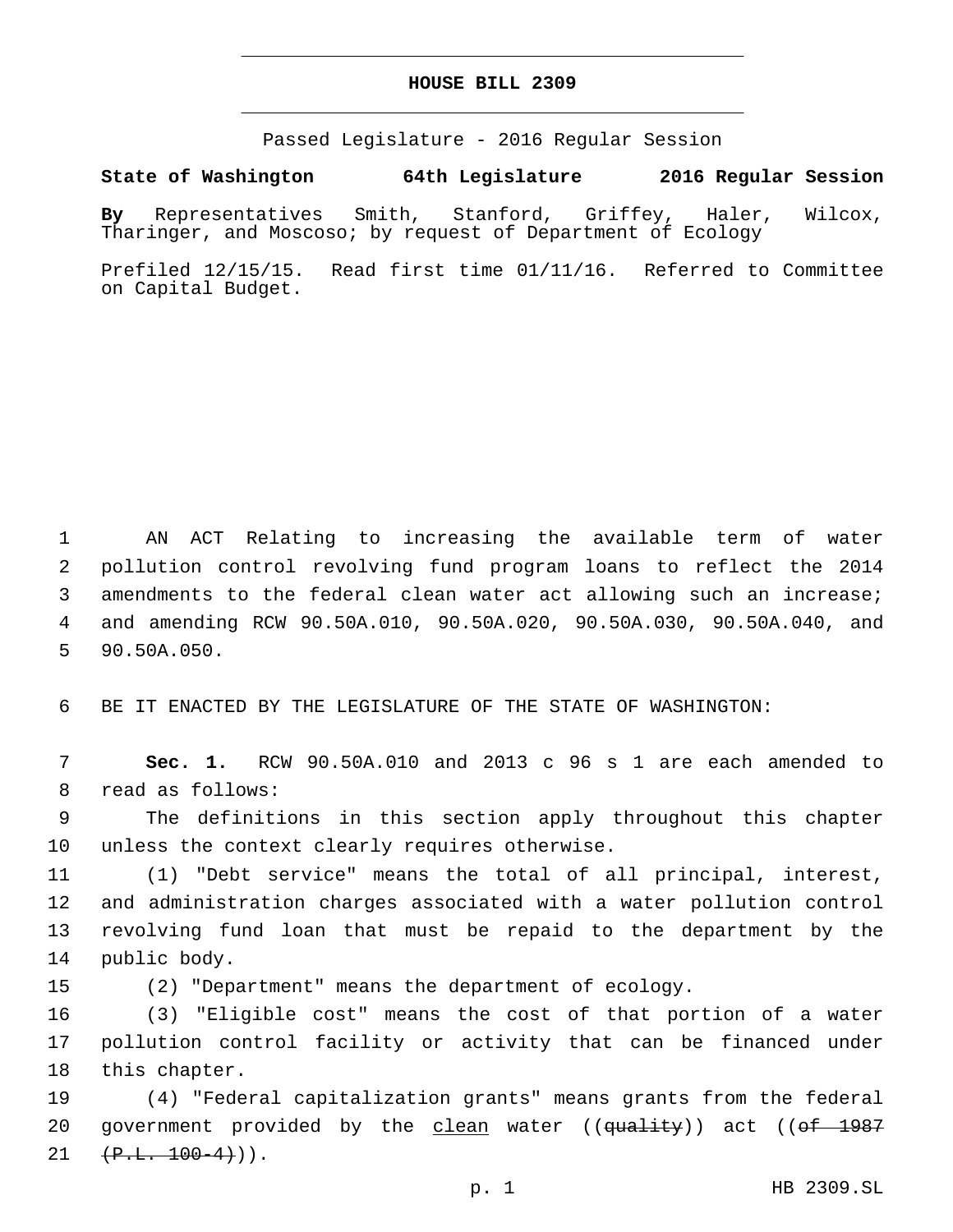### **HOUSE BILL 2309**

Passed Legislature - 2016 Regular Session

# **State of Washington 64th Legislature 2016 Regular Session**

**By** Representatives Smith, Stanford, Griffey, Haler, Wilcox, Tharinger, and Moscoso; by request of Department of Ecology

Prefiled 12/15/15. Read first time 01/11/16. Referred to Committee on Capital Budget.

 AN ACT Relating to increasing the available term of water pollution control revolving fund program loans to reflect the 2014 amendments to the federal clean water act allowing such an increase; and amending RCW 90.50A.010, 90.50A.020, 90.50A.030, 90.50A.040, and 5 90.50A.050.

6 BE IT ENACTED BY THE LEGISLATURE OF THE STATE OF WASHINGTON:

7 **Sec. 1.** RCW 90.50A.010 and 2013 c 96 s 1 are each amended to 8 read as follows:

9 The definitions in this section apply throughout this chapter 10 unless the context clearly requires otherwise.

 (1) "Debt service" means the total of all principal, interest, and administration charges associated with a water pollution control revolving fund loan that must be repaid to the department by the 14 public body.

15 (2) "Department" means the department of ecology.

16 (3) "Eligible cost" means the cost of that portion of a water 17 pollution control facility or activity that can be financed under 18 this chapter.

19 (4) "Federal capitalization grants" means grants from the federal 20 government provided by the clean water ((quality)) act ((of 1987  $(1 + P.L. 100-4))$ .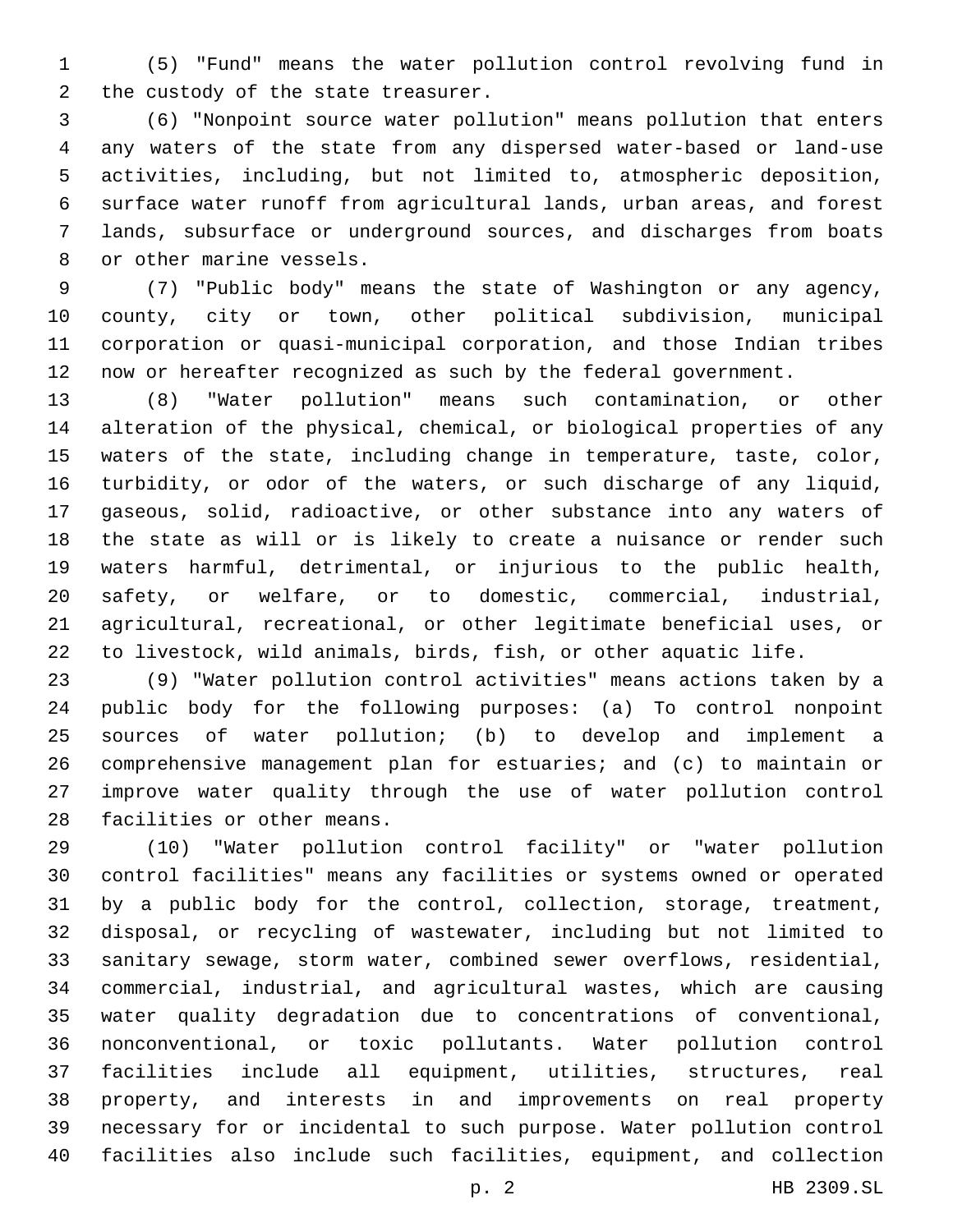(5) "Fund" means the water pollution control revolving fund in 2 the custody of the state treasurer.

 (6) "Nonpoint source water pollution" means pollution that enters any waters of the state from any dispersed water-based or land-use activities, including, but not limited to, atmospheric deposition, surface water runoff from agricultural lands, urban areas, and forest lands, subsurface or underground sources, and discharges from boats 8 or other marine vessels.

 (7) "Public body" means the state of Washington or any agency, county, city or town, other political subdivision, municipal corporation or quasi-municipal corporation, and those Indian tribes now or hereafter recognized as such by the federal government.

 (8) "Water pollution" means such contamination, or other alteration of the physical, chemical, or biological properties of any waters of the state, including change in temperature, taste, color, turbidity, or odor of the waters, or such discharge of any liquid, gaseous, solid, radioactive, or other substance into any waters of the state as will or is likely to create a nuisance or render such waters harmful, detrimental, or injurious to the public health, safety, or welfare, or to domestic, commercial, industrial, agricultural, recreational, or other legitimate beneficial uses, or to livestock, wild animals, birds, fish, or other aquatic life.

 (9) "Water pollution control activities" means actions taken by a public body for the following purposes: (a) To control nonpoint sources of water pollution; (b) to develop and implement a comprehensive management plan for estuaries; and (c) to maintain or improve water quality through the use of water pollution control 28 facilities or other means.

 (10) "Water pollution control facility" or "water pollution control facilities" means any facilities or systems owned or operated by a public body for the control, collection, storage, treatment, disposal, or recycling of wastewater, including but not limited to sanitary sewage, storm water, combined sewer overflows, residential, commercial, industrial, and agricultural wastes, which are causing water quality degradation due to concentrations of conventional, nonconventional, or toxic pollutants. Water pollution control facilities include all equipment, utilities, structures, real property, and interests in and improvements on real property necessary for or incidental to such purpose. Water pollution control facilities also include such facilities, equipment, and collection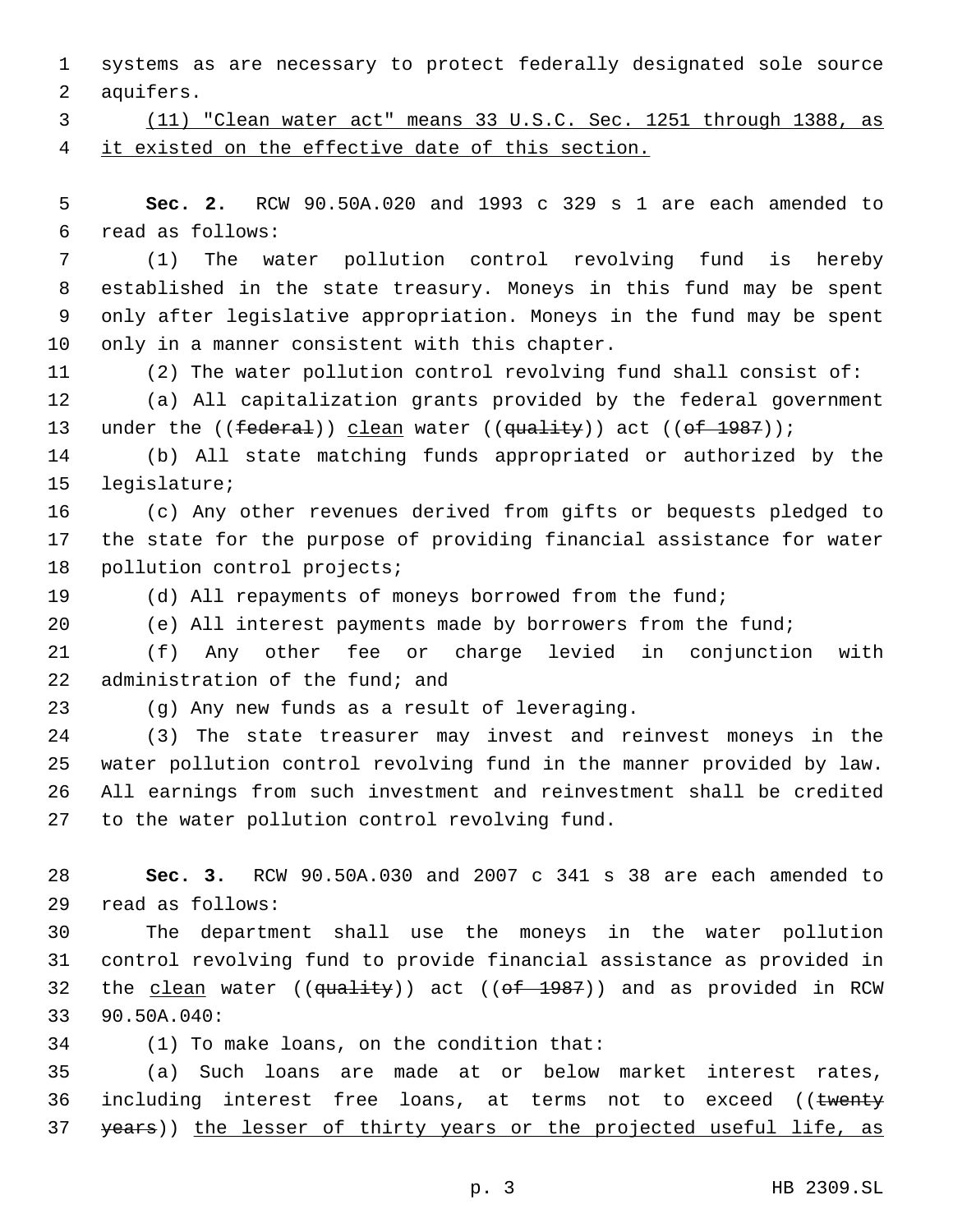1 systems as are necessary to protect federally designated sole source 2 aquifers.

3 (11) "Clean water act" means 33 U.S.C. Sec. 1251 through 1388, as 4 it existed on the effective date of this section.

5 **Sec. 2.** RCW 90.50A.020 and 1993 c 329 s 1 are each amended to read as follows:6

 (1) The water pollution control revolving fund is hereby established in the state treasury. Moneys in this fund may be spent only after legislative appropriation. Moneys in the fund may be spent 10 only in a manner consistent with this chapter.

11 (2) The water pollution control revolving fund shall consist of:

12 (a) All capitalization grants provided by the federal government 13 under the ((federal)) clean water ((quality)) act ((of 1987));

14 (b) All state matching funds appropriated or authorized by the 15 legislature;

16 (c) Any other revenues derived from gifts or bequests pledged to 17 the state for the purpose of providing financial assistance for water 18 pollution control projects;

19 (d) All repayments of moneys borrowed from the fund;

20 (e) All interest payments made by borrowers from the fund;

21 (f) Any other fee or charge levied in conjunction with 22 administration of the fund; and

(g) Any new funds as a result of leveraging.23

 (3) The state treasurer may invest and reinvest moneys in the water pollution control revolving fund in the manner provided by law. All earnings from such investment and reinvestment shall be credited 27 to the water pollution control revolving fund.

28 **Sec. 3.** RCW 90.50A.030 and 2007 c 341 s 38 are each amended to read as follows:29

30 The department shall use the moneys in the water pollution 31 control revolving fund to provide financial assistance as provided in 32 the clean water (( $\frac{quality}{(edwidth)}$ ) act ( $\frac{f}{d}$  1987)) and as provided in RCW 33 90.50A.040:

34 (1) To make loans, on the condition that:

35 (a) Such loans are made at or below market interest rates, 36 including interest free loans, at terms not to exceed ((twenty 37 years)) the lesser of thirty years or the projected useful life, as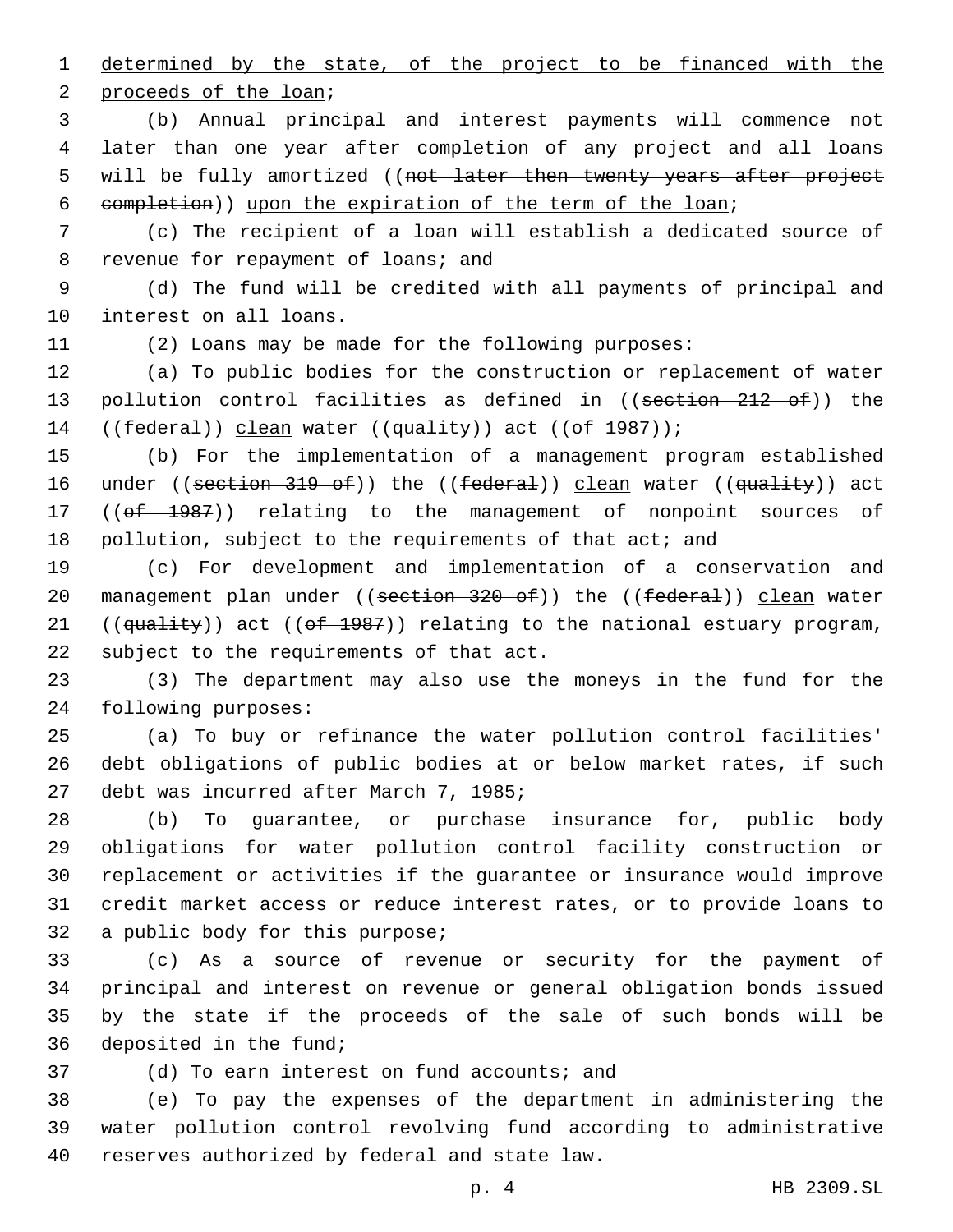1 determined by the state, of the project to be financed with the 2 proceeds of the loan;

 (b) Annual principal and interest payments will commence not later than one year after completion of any project and all loans 5 will be fully amortized ((not later then twenty years after project completion)) upon the expiration of the term of the loan;

7 (c) The recipient of a loan will establish a dedicated source of 8 revenue for repayment of loans; and

9 (d) The fund will be credited with all payments of principal and 10 interest on all loans.

11 (2) Loans may be made for the following purposes:

12 (a) To public bodies for the construction or replacement of water 13 pollution control facilities as defined in ((section 212 of)) the 14 ((federal)) clean water ((quality)) act ((of 1987));

15 (b) For the implementation of a management program established 16 under ((section 319 of)) the ((federal)) clean water ((quality)) act 17 ((of 1987)) relating to the management of nonpoint sources of 18 pollution, subject to the requirements of that act; and

19 (c) For development and implementation of a conservation and 20 management plan under ((section 320 of)) the ((federal)) clean water 21 (( $quality$ ) act (( $of$  1987)) relating to the national estuary program, 22 subject to the requirements of that act.

23 (3) The department may also use the moneys in the fund for the 24 following purposes:

25 (a) To buy or refinance the water pollution control facilities' 26 debt obligations of public bodies at or below market rates, if such 27 debt was incurred after March 7, 1985;

 (b) To guarantee, or purchase insurance for, public body obligations for water pollution control facility construction or replacement or activities if the guarantee or insurance would improve credit market access or reduce interest rates, or to provide loans to 32 a public body for this purpose;

 (c) As a source of revenue or security for the payment of principal and interest on revenue or general obligation bonds issued by the state if the proceeds of the sale of such bonds will be 36 deposited in the fund;

(d) To earn interest on fund accounts; and

38 (e) To pay the expenses of the department in administering the 39 water pollution control revolving fund according to administrative 40 reserves authorized by federal and state law.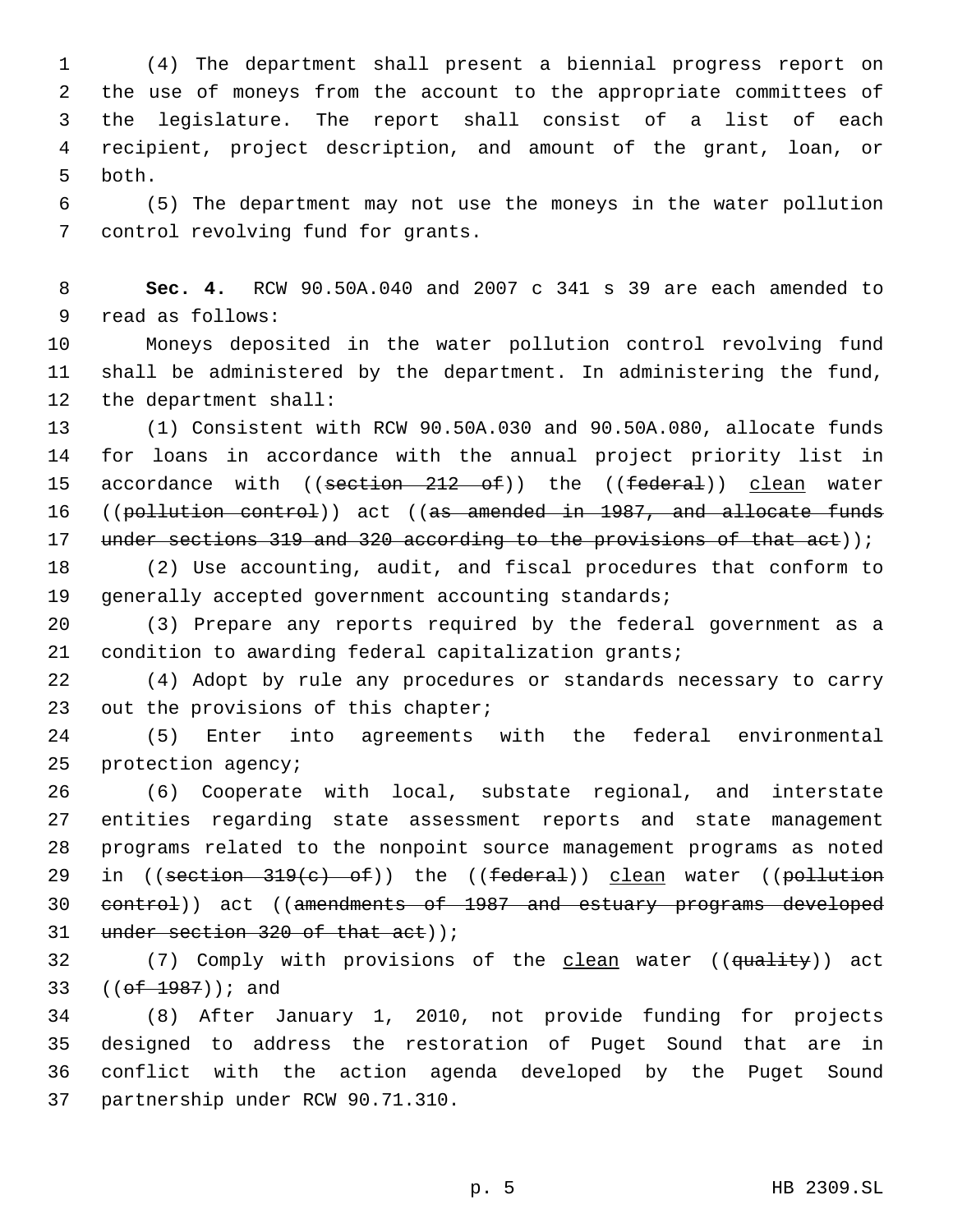(4) The department shall present a biennial progress report on the use of moneys from the account to the appropriate committees of the legislature. The report shall consist of a list of each recipient, project description, and amount of the grant, loan, or 5 both.

 (5) The department may not use the moneys in the water pollution 7 control revolving fund for grants.

 **Sec. 4.** RCW 90.50A.040 and 2007 c 341 s 39 are each amended to 9 read as follows:

 Moneys deposited in the water pollution control revolving fund shall be administered by the department. In administering the fund, 12 the department shall:

 (1) Consistent with RCW 90.50A.030 and 90.50A.080, allocate funds for loans in accordance with the annual project priority list in 15 accordance with ((section 212 of)) the ((federal)) clean water ((pollution control)) act ((as amended in 1987, and allocate funds 17 under sections 319 and 320 according to the provisions of that act));

 (2) Use accounting, audit, and fiscal procedures that conform to generally accepted government accounting standards;

 (3) Prepare any reports required by the federal government as a condition to awarding federal capitalization grants;

 (4) Adopt by rule any procedures or standards necessary to carry 23 out the provisions of this chapter;

 (5) Enter into agreements with the federal environmental 25 protection agency;

 (6) Cooperate with local, substate regional, and interstate entities regarding state assessment reports and state management programs related to the nonpoint source management programs as noted 29 in ((section 319(c) of)) the ((federal)) clean water ((pollution 30 control) act ((amendments of 1987 and estuary programs developed 31 under section of that act));

32 (7) Comply with provisions of the clean water ((quality)) act 33 (( $ef$  1987)); and

 (8) After January 1, 2010, not provide funding for projects designed to address the restoration of Puget Sound that are in conflict with the action agenda developed by the Puget Sound 37 partnership under RCW 90.71.310.